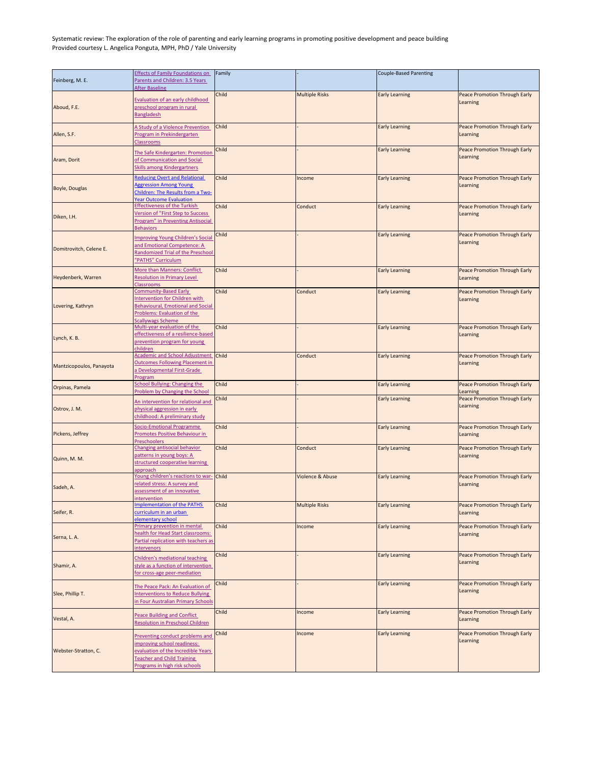| Feinberg, M. E.          | <b>Effects of Family Foundations on</b><br>Parents and Children: 3.5 Years<br><b>After Baseline</b>                                                                        | Family |                             | <b>Couple-Based Parenting</b> |                                                  |
|--------------------------|----------------------------------------------------------------------------------------------------------------------------------------------------------------------------|--------|-----------------------------|-------------------------------|--------------------------------------------------|
| Aboud, F.E.              | Evaluation of an early childhood<br>preschool program in rural<br>Bangladesh                                                                                               | Child  | <b>Multiple Risks</b>       | <b>Early Learning</b>         | Peace Promotion Through Early<br>Learning        |
| Allen, S.F.              | A Study of a Violence Prevention<br>Program in Prekindergarten<br><b>Classrooms</b>                                                                                        | Child  |                             | <b>Early Learning</b>         | Peace Promotion Through Early<br>Learning        |
| Aram, Dorit              | The Safe Kindergarten: Promotion<br>of Communication and Social<br><b>Skills among Kindergartners</b>                                                                      | Child  |                             | <b>Early Learning</b>         | <b>Peace Promotion Through Early</b><br>Learning |
| <b>Boyle, Douglas</b>    | <b>Reducing Overt and Relational</b><br><b>Aggression Among Young</b><br>Children: The Results from a Two-<br><b>Year Outcome Evaluation</b>                               | Child  | Income                      | <b>Early Learning</b>         | Peace Promotion Through Early<br>Learning        |
| Diken, I.H.              | <b>Effectiveness of the Turkish</b><br>Version of "First Step to Success<br>Program" in Preventing Antisocial<br><b>Behaviors</b>                                          | Child  | Conduct                     | <b>Early Learning</b>         | <b>Peace Promotion Through Early</b><br>Learning |
| Domitrovitch, Celene E.  | <b>Improving Young Children's Social</b><br>and Emotional Competence: A<br>Randomized Trial of the Preschool<br>"PATHS" Curriculum                                         | Child  |                             | <b>Early Learning</b>         | <b>Peace Promotion Through Early</b><br>Learning |
| Heydenberk, Warren       | More than Manners: Conflict<br><b>Resolution in Primary Level</b><br><b>Classrooms</b>                                                                                     | Child  |                             | <b>Early Learning</b>         | Peace Promotion Through Early<br>Learning        |
| Lovering, Kathryn        | <b>Community-Based Early</b><br>Intervention for Children with<br><b>Behavioural, Emotional and Social</b><br>Problems: Evaluation of the<br><b>Scallywags Scheme</b>      | Child  | Conduct                     | <b>Early Learning</b>         | <b>Peace Promotion Through Early</b><br>Learning |
| Lynch, K. B.             | Multi-year evaluation of the<br>effectiveness of a resilience-based<br>prevention program for young<br>children                                                            | Child  |                             | <b>Early Learning</b>         | Peace Promotion Through Early<br>Learning        |
| Mantzicopoulos, Panayota | Academic and School Adjustment Child<br><b>Outcomes Following Placement in</b><br>a Developmental First-Grade<br>Program                                                   |        | Conduct                     | <b>Early Learning</b>         | <b>Peace Promotion Through Early</b><br>Learning |
| Orpinas, Pamela          | <b>School Bullying: Changing the</b><br>Problem by Changing the School                                                                                                     | Child  |                             | <b>Early Learning</b>         | <b>Peace Promotion Through Early</b><br>Learning |
| Ostrov, J. M.            | An intervention for relational and<br>physical aggression in early<br>childhood: A preliminary study                                                                       | Child  |                             | <b>Early Learning</b>         | Peace Promotion Through Early<br>Learning        |
| Pickens, Jeffrey         | Socio-Emotional Programme<br>Promotes Positive Behaviour in<br><b>Preschoolers</b>                                                                                         | Child  |                             | <b>Early Learning</b>         | <b>Peace Promotion Through Early</b><br>Learning |
| Quinn, M. M.             | Changing antisocial behavior<br>patterns in young boys: A<br>structured cooperative learning<br>approach                                                                   | Child  | Conduct                     | <b>Early Learning</b>         | Peace Promotion Through Early<br>Learning        |
| Sadeh, A.                | Young children's reactions to war-<br>related stress: A survey and<br>assessment of an innovative<br>intervention                                                          | Child  | <b>Violence &amp; Abuse</b> | <b>Early Learning</b>         | <b>Peace Promotion Through Early</b><br>Learning |
| Seifer, R.               | <b>Implementation of the PATHS</b><br>curriculum in an urban<br>elementary school                                                                                          | Child  | <b>Multiple Risks</b>       | <b>Early Learning</b>         | <b>Peace Promotion Through Early</b><br>Learning |
| Serna, L. A.             | Primary prevention in mental<br>nealth for Head Start classrooms:<br>Partial replication with teachers as<br><b>intervenors</b>                                            | Child  | Income                      | <b>Early Learning</b>         | <b>Peace Promotion Through Early</b><br>Learning |
| Shamir, A.               | Children's mediational teaching<br>style as a function of intervention<br>for cross-age peer-mediation                                                                     | Child  |                             | <b>Early Learning</b>         | <b>Peace Promotion Through Early</b><br>Learning |
| Slee, Phillip T.         | The Peace Pack: An Evaluation of<br><b>Interventions to Reduce Bullying</b><br>in Four Australian Primary Schools                                                          | Child  |                             | <b>Early Learning</b>         | Peace Promotion Through Early<br>Learning        |
| Vestal, A.               | Peace Building and Conflict<br><b>Resolution in Preschool Children</b>                                                                                                     | Child  | Income                      | <b>Early Learning</b>         | <b>Peace Promotion Through Early</b><br>Learning |
| Webster-Stratton, C.     | Preventing conduct problems and<br>improving school readiness:<br>evaluation of the Incredible Years<br><b>Teacher and Child Training</b><br>Programs in high risk schools | Child  | Income                      | <b>Early Learning</b>         | <b>Peace Promotion Through Early</b><br>Learning |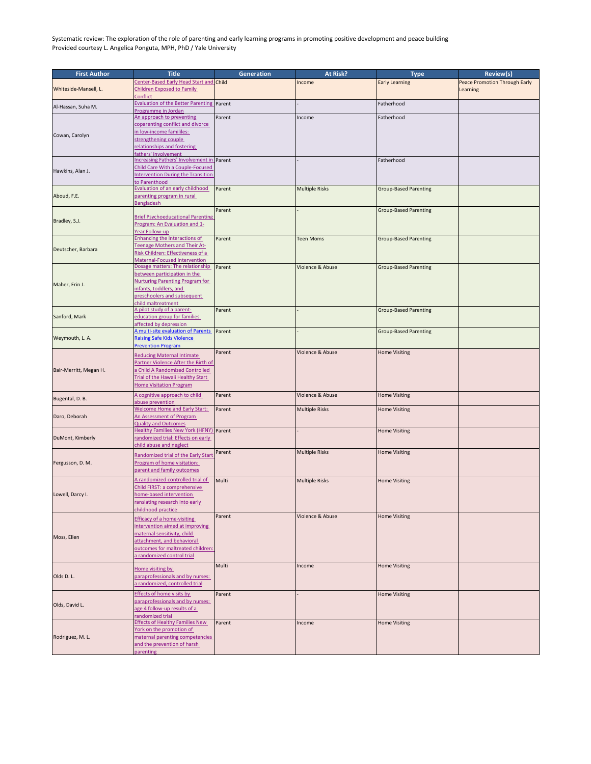| <b>First Author</b>    | <b>Title</b>                                                                         | <b>Generation</b> | <b>At Risk?</b>       | <b>Type</b>                  | <b>Review(s)</b>                     |
|------------------------|--------------------------------------------------------------------------------------|-------------------|-----------------------|------------------------------|--------------------------------------|
| Whiteside-Mansell, L.  | Center-Based Early Head Start and Child                                              |                   | Income                | <b>Early Learning</b>        | <b>Peace Promotion Through Early</b> |
|                        | <b>Children Exposed to Family</b>                                                    |                   |                       |                              | <b>Learning</b>                      |
|                        | Conflict                                                                             |                   |                       |                              |                                      |
| Al-Hassan, Suha M.     | Evaluation of the Better Parenting Parent                                            |                   |                       | Fatherhood                   |                                      |
|                        | Programme in Jordan                                                                  |                   |                       |                              |                                      |
|                        | An approach to preventing                                                            | Parent            | Income                | Fatherhood                   |                                      |
|                        | coparenting conflict and divorce<br>in low-income famililes:                         |                   |                       |                              |                                      |
| Cowan, Carolyn         | strengthening couple                                                                 |                   |                       |                              |                                      |
|                        | relationships and fostering                                                          |                   |                       |                              |                                      |
|                        | fathers' involvement                                                                 |                   |                       |                              |                                      |
|                        | Increasing Fathers' Involvement in Parent                                            |                   |                       | Fatherhood                   |                                      |
| Hawkins, Alan J.       | Child Care With a Couple-Focused                                                     |                   |                       |                              |                                      |
|                        | <b>Intervention During the Transition</b>                                            |                   |                       |                              |                                      |
|                        | to Parenthood                                                                        |                   |                       |                              |                                      |
|                        | Evaluation of an early childhood                                                     | Parent            | <b>Multiple Risks</b> | <b>Group-Based Parenting</b> |                                      |
| Aboud, F.E.            | parenting program in rural<br><b>Bangladesh</b>                                      |                   |                       |                              |                                      |
|                        |                                                                                      | Parent            |                       | <b>Group-Based Parenting</b> |                                      |
|                        | <b>Brief Psychoeducational Parenting</b>                                             |                   |                       |                              |                                      |
| Bradley, S.J.          | Program: An Evaluation and 1-                                                        |                   |                       |                              |                                      |
|                        | Year Follow-up                                                                       |                   |                       |                              |                                      |
|                        | Enhancing the Interactions of                                                        | Parent            | <b>Teen Moms</b>      | <b>Group-Based Parenting</b> |                                      |
| Deutscher, Barbara     | Teenage Mothers and Their At-                                                        |                   |                       |                              |                                      |
|                        | Risk Children: Effectiveness of a                                                    |                   |                       |                              |                                      |
|                        | Maternal-Focused Intervention<br>Dosage matters: The relationship                    | Parent            | Violence & Abuse      | <b>Group-Based Parenting</b> |                                      |
|                        | between participation in the                                                         |                   |                       |                              |                                      |
|                        | <b>Nurturing Parenting Program for</b>                                               |                   |                       |                              |                                      |
| Maher, Erin J.         | infants, toddlers, and                                                               |                   |                       |                              |                                      |
|                        | preschoolers and subsequent                                                          |                   |                       |                              |                                      |
|                        | child maltreatment                                                                   |                   |                       |                              |                                      |
|                        | A pilot study of a parent-                                                           | Parent            |                       | <b>Group-Based Parenting</b> |                                      |
| Sanford, Mark          | education group for families                                                         |                   |                       |                              |                                      |
|                        | affected by depression<br>A multi-site evaluation of Parents                         | Parent            |                       | <b>Group-Based Parenting</b> |                                      |
| Weymouth, L. A.        | <b>Raising Safe Kids Violence</b>                                                    |                   |                       |                              |                                      |
|                        | <b>Prevention Program</b>                                                            |                   |                       |                              |                                      |
|                        | <b>Reducing Maternal Intimate</b>                                                    | Parent            | Violence & Abuse      | <b>Home Visiting</b>         |                                      |
|                        | Partner Violence After the Birth of                                                  |                   |                       |                              |                                      |
| Bair-Merritt, Megan H. | Child A Randomized Controlled                                                        |                   |                       |                              |                                      |
|                        | Trial of the Hawaii Healthy Start                                                    |                   |                       |                              |                                      |
|                        | <b>Home Visitation Program</b>                                                       |                   |                       |                              |                                      |
|                        | A cognitive approach to child                                                        | Parent            | Violence & Abuse      | <b>Home Visiting</b>         |                                      |
| Bugental, D. B.        | abuse prevention                                                                     |                   |                       |                              |                                      |
|                        | <b>Welcome Home and Early Start:</b>                                                 | Parent            | <b>Multiple Risks</b> | <b>Home Visiting</b>         |                                      |
| Daro, Deborah          | An Assessment of Program                                                             |                   |                       |                              |                                      |
|                        | <b>Quality and Outcomes</b>                                                          |                   |                       |                              |                                      |
| DuMont, Kimberly       | <b>Healthy Families New York (HFNY) Parent</b><br>randomized trial: Effects on early |                   |                       | <b>Home Visiting</b>         |                                      |
|                        | child abuse and neglect                                                              |                   |                       |                              |                                      |
|                        |                                                                                      | Parent            | <b>Multiple Risks</b> | <b>Home Visiting</b>         |                                      |
|                        | Randomized trial of the Early Start                                                  |                   |                       |                              |                                      |
| Fergusson, D. M.       | Program of home visitation:                                                          |                   |                       |                              |                                      |
|                        | parent and family outcomes                                                           |                   |                       |                              |                                      |
| Lowell, Darcy I.       | A randomized controlled trial of                                                     | Multi             | <b>Multiple Risks</b> | <b>Home Visiting</b>         |                                      |
|                        | Child FIRST: a comprehensive                                                         |                   |                       |                              |                                      |
|                        | home-based intervention<br>ranslating research into early                            |                   |                       |                              |                                      |
|                        | childhood practice                                                                   |                   |                       |                              |                                      |
|                        | <b>Efficacy of a home-visiting</b>                                                   | Parent            | Violence & Abuse      | <b>Home Visiting</b>         |                                      |
|                        | intervention aimed at improving                                                      |                   |                       |                              |                                      |
|                        | maternal sensitivity, child                                                          |                   |                       |                              |                                      |
| Moss, Ellen            | attachment, and behavioral                                                           |                   |                       |                              |                                      |
|                        | outcomes for maltreated children:                                                    |                   |                       |                              |                                      |
|                        | a randomized control trial                                                           |                   |                       |                              |                                      |
|                        |                                                                                      | Multi             | Income                | <b>Home Visiting</b>         |                                      |
|                        | Home visiting by                                                                     |                   |                       |                              |                                      |
| Olds D. L.             | paraprofessionals and by nurses:                                                     |                   |                       |                              |                                      |
|                        | a randomized, controlled trial                                                       |                   |                       |                              |                                      |
|                        | <b>Effects of home visits by</b>                                                     | Parent            |                       | <b>Home Visiting</b>         |                                      |
| Olds, David L.         | paraprofessionals and by nurses:                                                     |                   |                       |                              |                                      |
|                        | age 4 follow-up results of a<br>randomized trial                                     |                   |                       |                              |                                      |
|                        | <b>Effects of Healthy Families New</b>                                               | Parent            | Income                | <b>Home Visiting</b>         |                                      |
|                        | York on the promotion of                                                             |                   |                       |                              |                                      |
| Rodriguez, M. L.       | maternal parenting competencies                                                      |                   |                       |                              |                                      |
|                        | and the prevention of harsh                                                          |                   |                       |                              |                                      |
|                        | parenting                                                                            |                   |                       |                              |                                      |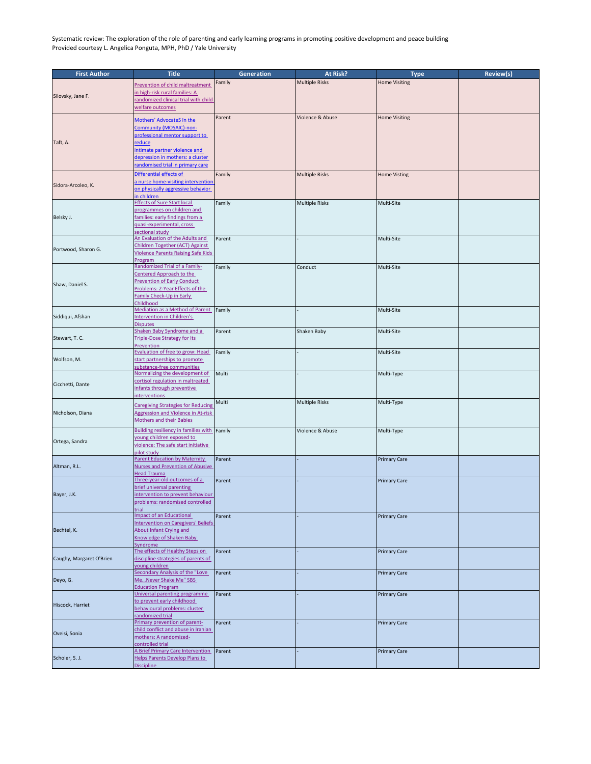| <b>First Author</b>      | <b>Title</b>                                                          | <b>Generation</b> | At Risk?              | <b>Type</b>          | <b>Review(s)</b> |
|--------------------------|-----------------------------------------------------------------------|-------------------|-----------------------|----------------------|------------------|
| Silovsky, Jane F.        | Prevention of child maltreatment                                      | Family            | <b>Multiple Risks</b> | <b>Home Visiting</b> |                  |
|                          | in high-risk rural families: A                                        |                   |                       |                      |                  |
|                          | randomized clinical trial with child                                  |                   |                       |                      |                  |
|                          | welfare outcomes                                                      |                   |                       |                      |                  |
|                          |                                                                       | Parent            | Violence & Abuse      | <b>Home Visiting</b> |                  |
|                          | Mothers' AdvocateS In the<br>Community (MOSAIC)-non-                  |                   |                       |                      |                  |
|                          | professional mentor support to                                        |                   |                       |                      |                  |
| Taft, A.                 | reduce                                                                |                   |                       |                      |                  |
|                          | intimate partner violence and                                         |                   |                       |                      |                  |
|                          | depression in mothers: a cluster                                      |                   |                       |                      |                  |
|                          | randomised trial in primary care                                      |                   |                       |                      |                  |
|                          | Differential effects of                                               | Family            | <b>Multiple Risks</b> | <b>Home Visting</b>  |                  |
| Sidora-Arcoleo, K.       | a nurse home-visiting intervention                                    |                   |                       |                      |                  |
|                          | on physically aggressive behavior<br>in children                      |                   |                       |                      |                  |
|                          | <b>Effects of Sure Start local</b>                                    | Family            | <b>Multiple Risks</b> | Multi-Site           |                  |
|                          | programmes on children and                                            |                   |                       |                      |                  |
| Belsky J.                | families: early findings from a                                       |                   |                       |                      |                  |
|                          | quasi-experimental, cross                                             |                   |                       |                      |                  |
|                          | sectional study<br>An Evaluation of the Adults and                    | Parent            |                       | Multi-Site           |                  |
|                          | Children Together (ACT) Against                                       |                   |                       |                      |                  |
| Portwood, Sharon G.      | <b>Violence Parents Raising Safe Kids</b>                             |                   |                       |                      |                  |
|                          | Program                                                               |                   |                       |                      |                  |
|                          | Randomized Trial of a Family-                                         | Family            | Conduct               | Multi-Site           |                  |
|                          | Centered Approach to the<br><b>Prevention of Early Conduct</b>        |                   |                       |                      |                  |
| Shaw, Daniel S.          | Problems: 2-Year Effects of the                                       |                   |                       |                      |                  |
|                          | <b>Family Check-Up in Early</b>                                       |                   |                       |                      |                  |
|                          | Childhood                                                             |                   |                       |                      |                  |
|                          | Mediation as a Method of Parent                                       | Family            |                       | Multi-Site           |                  |
| Siddiqui, Afshan         | <b>Intervention in Children's</b>                                     |                   |                       |                      |                  |
|                          | <b>Disputes</b><br>Shaken Baby Syndrome and a                         | Parent            | Shaken Baby           | Multi-Site           |                  |
| Stewart, T. C.           | <b>Triple-Dose Strategy for Its</b>                                   |                   |                       |                      |                  |
|                          | Prevention                                                            |                   |                       |                      |                  |
|                          | Evaluation of free to grow: Head                                      | Family            |                       | Multi-Site           |                  |
| Wolfson, M.              | start partnerships to promote<br>substance-free communities           |                   |                       |                      |                  |
|                          | Normalizing the development of                                        | Multi             |                       | Multi-Type           |                  |
| Cicchetti, Dante         | cortisol regulation in maltreated                                     |                   |                       |                      |                  |
|                          | infants through preventive                                            |                   |                       |                      |                  |
|                          | <b>interventions</b>                                                  |                   |                       |                      |                  |
|                          | <b>Caregiving Strategies for Reducing</b>                             | Multi             | <b>Multiple Risks</b> | Multi-Type           |                  |
| Nicholson, Diana         | <b>Aggression and Violence in At-risk</b>                             |                   |                       |                      |                  |
|                          | <b>Mothers and their Babies</b>                                       |                   |                       |                      |                  |
|                          | <b>Building resiliency in families with Family</b>                    |                   | Violence & Abuse      | Multi-Type           |                  |
| Ortega, Sandra           | young children exposed to<br>violence: The safe start initiative      |                   |                       |                      |                  |
|                          | pilot study                                                           |                   |                       |                      |                  |
|                          | <b>Parent Education by Maternity</b>                                  | Parent            |                       | <b>Primary Care</b>  |                  |
| Altman, R.L.             | <b>Nurses and Prevention of Abusive</b>                               |                   |                       |                      |                  |
|                          | <b>Head Trauma</b>                                                    |                   |                       |                      |                  |
|                          | Three-year-old outcomes of a<br>brief universal parenting             | Parent            |                       | <b>Primary Care</b>  |                  |
| Bayer, J.K.              | intervention to prevent behaviour                                     |                   |                       |                      |                  |
|                          | problems: randomised controlled                                       |                   |                       |                      |                  |
|                          | trial                                                                 |                   |                       |                      |                  |
|                          | <b>Impact of an Educational</b>                                       | Parent            |                       | <b>Primary Care</b>  |                  |
| Bechtel, K.              | <b>Intervention on Caregivers' Beliefs</b><br>About Infant Crying and |                   |                       |                      |                  |
|                          | Knowledge of Shaken Baby                                              |                   |                       |                      |                  |
|                          | Syndrome                                                              |                   |                       |                      |                  |
|                          | The effects of Healthy Steps on                                       | Parent            |                       | <b>Primary Care</b>  |                  |
| Caughy, Margaret O'Brien | discipline strategies of parents of                                   |                   |                       |                      |                  |
|                          | young children<br><b>Secondary Analysis of the "Love</b>              | Parent            |                       | <b>Primary Care</b>  |                  |
| Deyo, G.                 | MeNever Shake Me" SBS                                                 |                   |                       |                      |                  |
|                          | <b>Education Program</b>                                              |                   |                       |                      |                  |
|                          | Universal parenting programme                                         | Parent            |                       | <b>Primary Care</b>  |                  |
| Hiscock, Harriet         | to prevent early childhood                                            |                   |                       |                      |                  |
|                          | behavioural problems: cluster<br>randomized trial                     |                   |                       |                      |                  |
|                          | Primary prevention of parent-                                         | Parent            |                       | <b>Primary Care</b>  |                  |
| Oveisi, Sonia            | child conflict and abuse in Iranian                                   |                   |                       |                      |                  |
|                          | mothers: A randomized-                                                |                   |                       |                      |                  |
|                          | controlled trial<br>A Brief Primary Care Intervention                 | Parent            |                       | <b>Primary Care</b>  |                  |
| Scholer, S. J.           | Helps Parents Develop Plans to                                        |                   |                       |                      |                  |
|                          | <b>Discipline</b>                                                     |                   |                       |                      |                  |